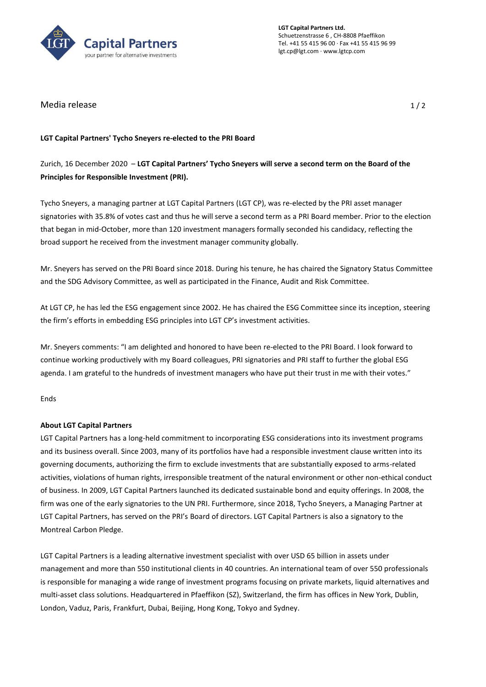

**LGT Capital Partners Ltd.** Schuetzenstrasse 6 , CH-8808 Pfaeffikon Tel. +41 55 415 96 00 · Fax +41 55 415 96 99 lgt.cp@lgt.com · www.lgtcp.com

Media release and the set of the set of the set of the set of the set of the set of the set of the set of the set of the set of the set of the set of the set of the set of the set of the set of the set of the set of the se

## **LGT Capital Partners' Tycho Sneyers re-elected to the PRI Board**

## Zurich, 16 December 2020 – **LGT Capital Partners' Tycho Sneyers will serve a second term on the Board of the Principles for Responsible Investment (PRI).**

Tycho Sneyers, a managing partner at LGT Capital Partners (LGT CP), was re-elected by the PRI asset manager signatories with 35.8% of votes cast and thus he will serve a second term as a PRI Board member. Prior to the election that began in mid-October, more than 120 investment managers formally seconded his candidacy, reflecting the broad support he received from the investment manager community globally.

Mr. Sneyers has served on the PRI Board since 2018. During his tenure, he has chaired the Signatory Status Committee and the SDG Advisory Committee, as well as participated in the Finance, Audit and Risk Committee.

At LGT CP, he has led the ESG engagement since 2002. He has chaired the ESG Committee since its inception, steering the firm's efforts in embedding ESG principles into LGT CP's investment activities.

Mr. Sneyers comments: "I am delighted and honored to have been re-elected to the PRI Board. I look forward to continue working productively with my Board colleagues, PRI signatories and PRI staff to further the global ESG agenda. I am grateful to the hundreds of investment managers who have put their trust in me with their votes."

Ends

## **About LGT Capital Partners**

LGT Capital Partners has a long-held commitment to incorporating ESG considerations into its investment programs and its business overall. Since 2003, many of its portfolios have had a responsible investment clause written into its governing documents, authorizing the firm to exclude investments that are substantially exposed to arms-related activities, violations of human rights, irresponsible treatment of the natural environment or other non-ethical conduct of business. In 2009, LGT Capital Partners launched its dedicated sustainable bond and equity offerings. In 2008, the firm was one of the early signatories to the UN PRI. Furthermore, since 2018, Tycho Sneyers, a Managing Partner at LGT Capital Partners, has served on the PRI's Board of directors. LGT Capital Partners is also a signatory to the Montreal Carbon Pledge.

LGT Capital Partners is a leading alternative investment specialist with over USD 65 billion in assets under management and more than 550 institutional clients in 40 countries. An international team of over 550 professionals is responsible for managing a wide range of investment programs focusing on private markets, liquid alternatives and multi-asset class solutions. Headquartered in Pfaeffikon (SZ), Switzerland, the firm has offices in New York, Dublin, London, Vaduz, Paris, Frankfurt, Dubai, Beijing, Hong Kong, Tokyo and Sydney.